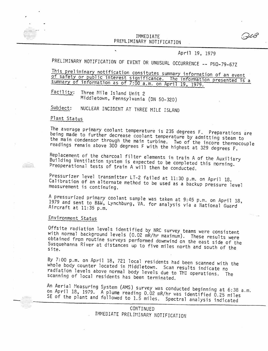## THADY MOT PREMERHIMANT NOTIFICATI

April 19, 1979

## PRELIMINARY NOTIFICATION OF EVENT OR UNUSUAL OCCURRENCE -- PNO-79-67Z

This preliminary notification consitutes summary information of an event of safety or public interest significance. The information presented is a summary of information as of 7:00 a.m. on April 19, 1979.

Facility: Three Mile Island Unit 2 Middletown, Pennsylvania (DN 50-320)

NUCLEAR INCIDENT AT THREE MILE ISLAND Subject:

## Plant Status

The average primary coolant temperature is 235 degrees F. Preparations are being made to further decrease coolant temperature by admitting steam to the main condensor through the main turbine. Two of the incore thermocouple readings remain above 300 degrees F with the highest at 329 degrees F.

Replacement of the charcoal filter elements in train A of the Auxiliary Building Ventilation system is expected to be completed this morning. Preoperational tests of train A will then be conducted.

Pressurizer level transmitter LT-2 failed at 11:30 p.m. on April 18. Calibration of an alternate method to be used as a backup pressure level measurement is continuing.

A pressurized primary coolant sample was taken at 9:45 p.m. on April 18, 1979 and sent to B&W, Lynchburg, VA. for analysis via a National Guard Aircraft at 11:35 p.m.

## Environment Status

Offsite radiation levels identified by NRC survey teams were consistent with normal background levels (0.02 mR/hr maximum). These results were obtained from routine surveys performed downwind on the east side of the Susquehanna River at distances up to five miles north and south of the te.

By 7:00 p.m. on April 18, 721 local residents had been scanned with the whole body counter located in Middletown. Scan results indicate no radiation levels above normal body levels due to TMI operations. The scanning of local residents has been terminated.

An Aerial Measuring System (AMS) survey was conducted beginning at 6:38 a.m. on April 18, 1979. A plume reading 0.02 mR/hr was identified 0.25 miles SE of the plant and followed to 1.5 miles. Spectral analysis indicated

> **CONTINUED** IMMEDIATE PRELIMINARY NOTIFICATION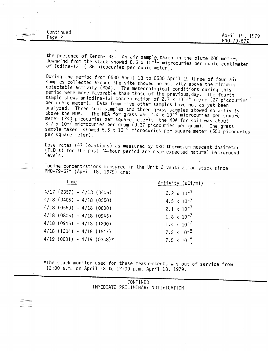| $\mathcal{L}_{\mathcal{A}}$ and the set of $\mathcal{A}$<br>$\cdots$<br>$\cdots$<br>. | Continued |                |
|---------------------------------------------------------------------------------------|-----------|----------------|
| $\cdots$<br>$\cdots$<br>$\sim$                                                        | Page 2    | April 19, 1979 |
|                                                                                       |           | $PNO-79-67Z$   |

the presence of Xenon-133. An air sample taken in the plume 200 meter downwind from the stack showed 8.6 x  $10^{-11}$  microcuries per cubic centimete<br>of Iodine-131 ( 86 picocuries per cubic multiplet of Iodine-131 ( 86 picocuries per cubic meter).

During the period from 0530 April 18 to 0530 April 19 three of four air samples collected around the site showed no activity above the minimum detectable activity (MDA). The meteorological conditions during this period were more favorable than those of the previous day. The fourth<br>sample shows an Iodine-131 concentration of 2.7 x 10<sup>-11</sup> uc/cc (27 picocuries per cubic meter). Data from five other samples have not as yet been analyzed. Three soil samples and three grass samples showed no activity<br>above the MDA. The MDA for grass was 2 4 x 10-4 microcuries per square The MDA for grass was  $2.4 \times 10^{-4}$  microcuries per square meter (240 picocuries per square meter); the MDA for soil was about <sup>3.7</sup> x 10<sup>-7</sup> microcuries per gram (0.37 picocuries per gram). One gras <sup>sample</sup> taken showed 5.5 x 10<sup>-4</sup> microcuries per square meter (550 picocurie per square meter).

Dose rates (47 locations) as measured by NRC thermoluminescent dosimeters (TLD's) for the past 24-hour period are near expected natural background levels.

Iodine concentrations measured in the Unit 2 ventilation stack since<br>PNO-79-67Y (April 18, 1979) are:

| Time                          | Activity (uCi/ml)             |
|-------------------------------|-------------------------------|
| $4/17$ (2357) - 4/18 (0405)   | 2.2 $\times$ 10 <sup>-7</sup> |
| $4/18$ (0405) - 4/18 (0550)   | $4.5 \times 10^{-7}$          |
| $4/18$ (0550) - $4/18$ (0800) | $2.1 \times 10^{-7}$          |
| $4/18$ (0805) - 4/18 (0945)   | $1.8 \times 10^{-7}$          |
| $4/18$ (0945) - 4/18 (1200)   | $1.4 \times 10^{-7}$          |
| $4/18$ (1204) - $4/18$ (1647) | 7.2 $\times$ 10 <sup>-8</sup> |
| $4/19$ (0001) - 4/19 (0358)*  | 7.5 $\times$ 10 <sup>-8</sup> |

\*The stack monitor used for these measurements was out of service from 12:00 a.m. on April 18 to 12:00 p.m. April 18, 1979.

|                                                    | CONTINED                           |  |
|----------------------------------------------------|------------------------------------|--|
|                                                    | IMMEDIATE PRELIMINARY NOTIFICATION |  |
|                                                    |                                    |  |
| .<br>. <u>.</u>                                    |                                    |  |
| . <b>.</b><br>.<br>. <i>.</i><br>.<br>. <i>.</i> . |                                    |  |
| .<br>. <b>. .</b><br>.                             |                                    |  |
| <b>COLLECTION</b>                                  |                                    |  |